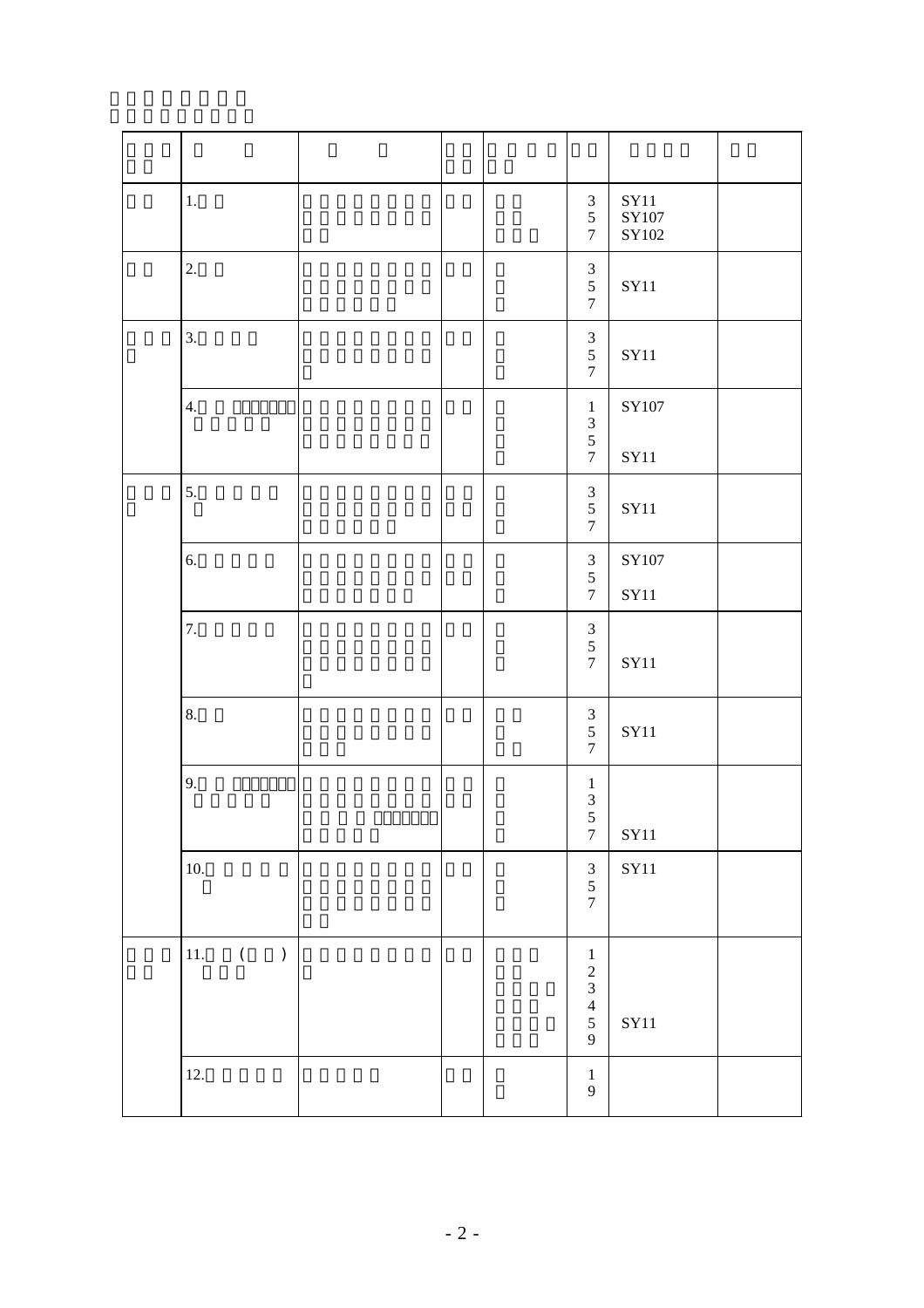| $1.$                      |  | $\mathfrak{Z}$<br>$\mathfrak{S}$<br>$\overline{7}$            | ${\bf SY11}$<br>$\rm SY107$<br>$\rm SY102$ |  |
|---------------------------|--|---------------------------------------------------------------|--------------------------------------------|--|
| $2.$                      |  | $\frac{3}{5}$<br>$\boldsymbol{7}$                             | SY11                                       |  |
| 3.                        |  | $\ensuremath{\mathfrak{Z}}$<br>$\sqrt{5}$<br>$\boldsymbol{7}$ | ${\bf SY11}$                               |  |
| 4.                        |  | $\,1\,$<br>$\begin{array}{c} 3 \\ 5 \\ 7 \end{array}$         | $\rm SY107$<br>${\bf SY11}$                |  |
| 5.                        |  | $\frac{3}{5}$<br>$\boldsymbol{7}$                             | <b>SY11</b>                                |  |
| 6.                        |  | $\begin{array}{c} 3 \\ 5 \end{array}$<br>$\boldsymbol{7}$     | SY107<br><b>SY11</b>                       |  |
| 7.                        |  | $\begin{array}{c} 3 \\ 5 \\ 7 \end{array}$                    | ${\bf SY11}$                               |  |
| 8.                        |  | $\ensuremath{\mathfrak{Z}}$<br>$\sqrt{5}$<br>$\tau$           | <b>SY11</b>                                |  |
| 9.                        |  | $\,1\,$<br>$\frac{3}{5}$<br>$\boldsymbol{7}$                  | ${\rm SY11}$                               |  |
| 10.                       |  | $\begin{array}{c} 3 \\ 5 \\ 7 \end{array}$                    | ${\bf SY11}$                               |  |
| $\left($<br>11.<br>$\,$ ) |  | $\frac{1}{2}$ $\frac{3}{4}$ $\frac{4}{5}$ 9                   | $\rm SY11$                                 |  |
| 12.                       |  | $\,1\,$<br>$\overline{9}$                                     |                                            |  |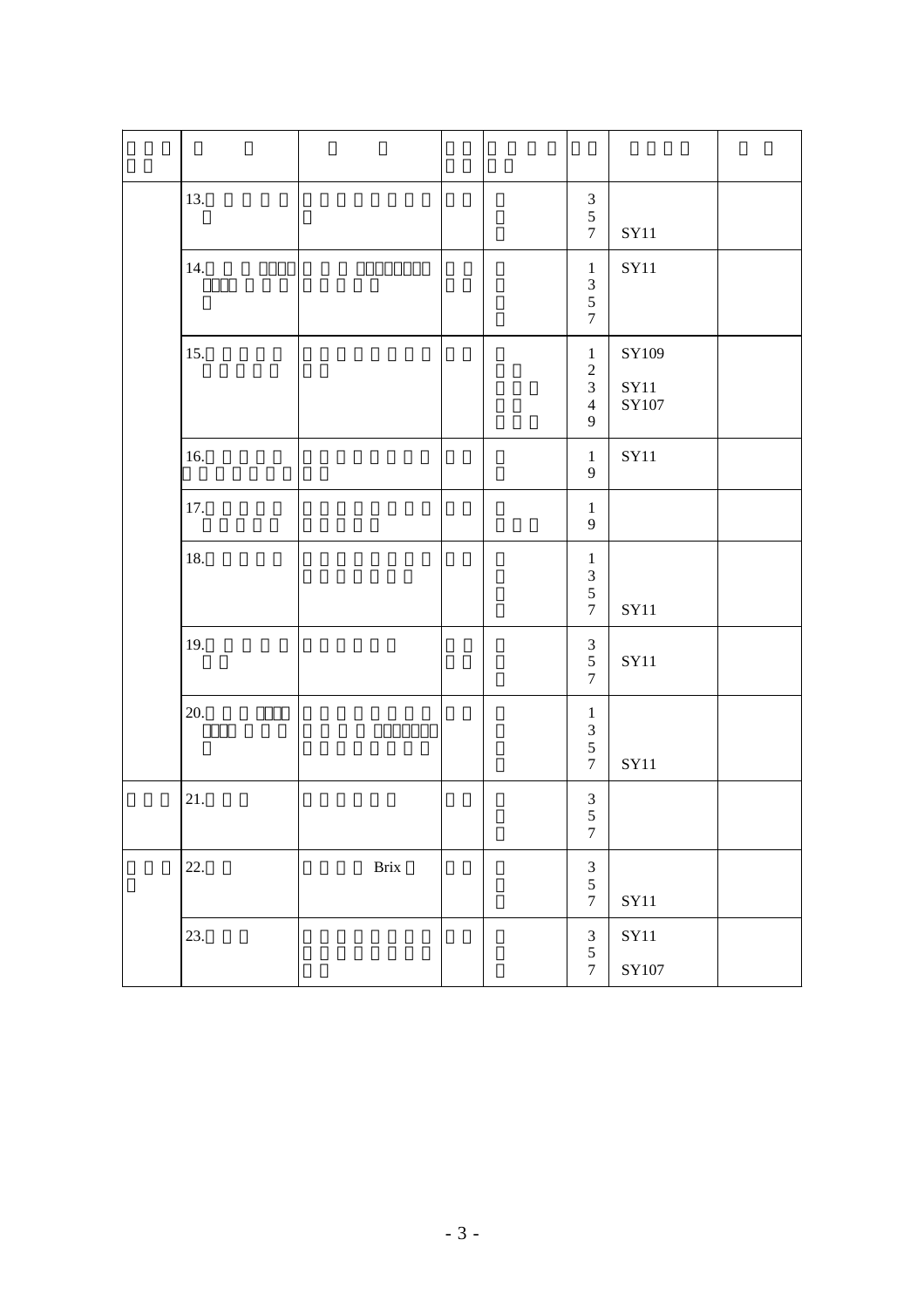| 13.   |      |  | $\frac{3}{5}$<br>$\boldsymbol{7}$                                         | ${\rm SY11}$                               |  |
|-------|------|--|---------------------------------------------------------------------------|--------------------------------------------|--|
| 14.   |      |  | $\,1\,$<br>$\begin{array}{c} 3 \\ 5 \\ 7 \end{array}$                     | ${\rm SY11}$                               |  |
| 15.   |      |  | $1\,$<br>$\frac{2}{3}$<br>$\overline{4}$<br>$\overline{9}$                | $\rm SY109$<br>${\rm SY11}$<br>$\rm SY107$ |  |
| 16.   |      |  | $\,1$<br>$\overline{9}$                                                   | $\rm SY11$                                 |  |
| 17.   |      |  | $\,1\,$<br>$\overline{9}$                                                 |                                            |  |
| 18.   |      |  | $\mathbf{1}$<br>$\begin{array}{c} 3 \\ 5 \end{array}$<br>$\boldsymbol{7}$ | ${\bf SY11}$                               |  |
| 19.   |      |  | $\ensuremath{\mathfrak{Z}}$<br>$\sqrt{5}$<br>$\boldsymbol{7}$             | ${\bf SY11}$                               |  |
| 20.   |      |  | $\,1\,$<br>$\frac{3}{5}$<br>$\boldsymbol{7}$                              | ${\rm SY11}$                               |  |
| $21.$ |      |  | $\frac{3}{5}$<br>$\boldsymbol{7}$                                         |                                            |  |
| 22.   | Brix |  | $\begin{array}{c} 3 \\ 5 \\ 7 \end{array}$                                | $\rm SY11$                                 |  |
| 23.   |      |  | $\begin{array}{c} 3 \\ 5 \end{array}$<br>$\boldsymbol{7}$                 | ${\rm SY11}$<br>$\rm SY107$                |  |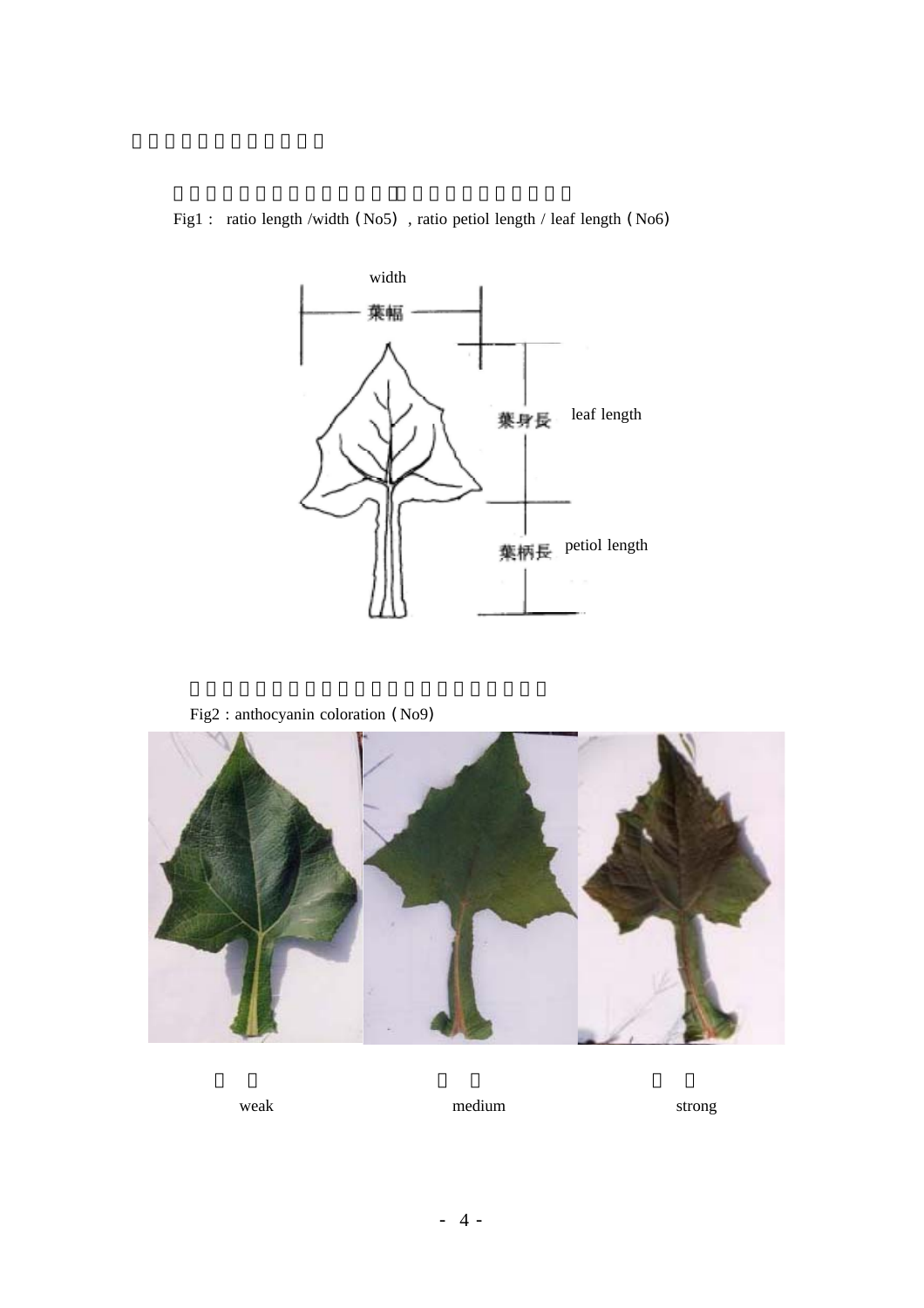



Fig2 : anthocyanin coloration (No9)



weak medium strong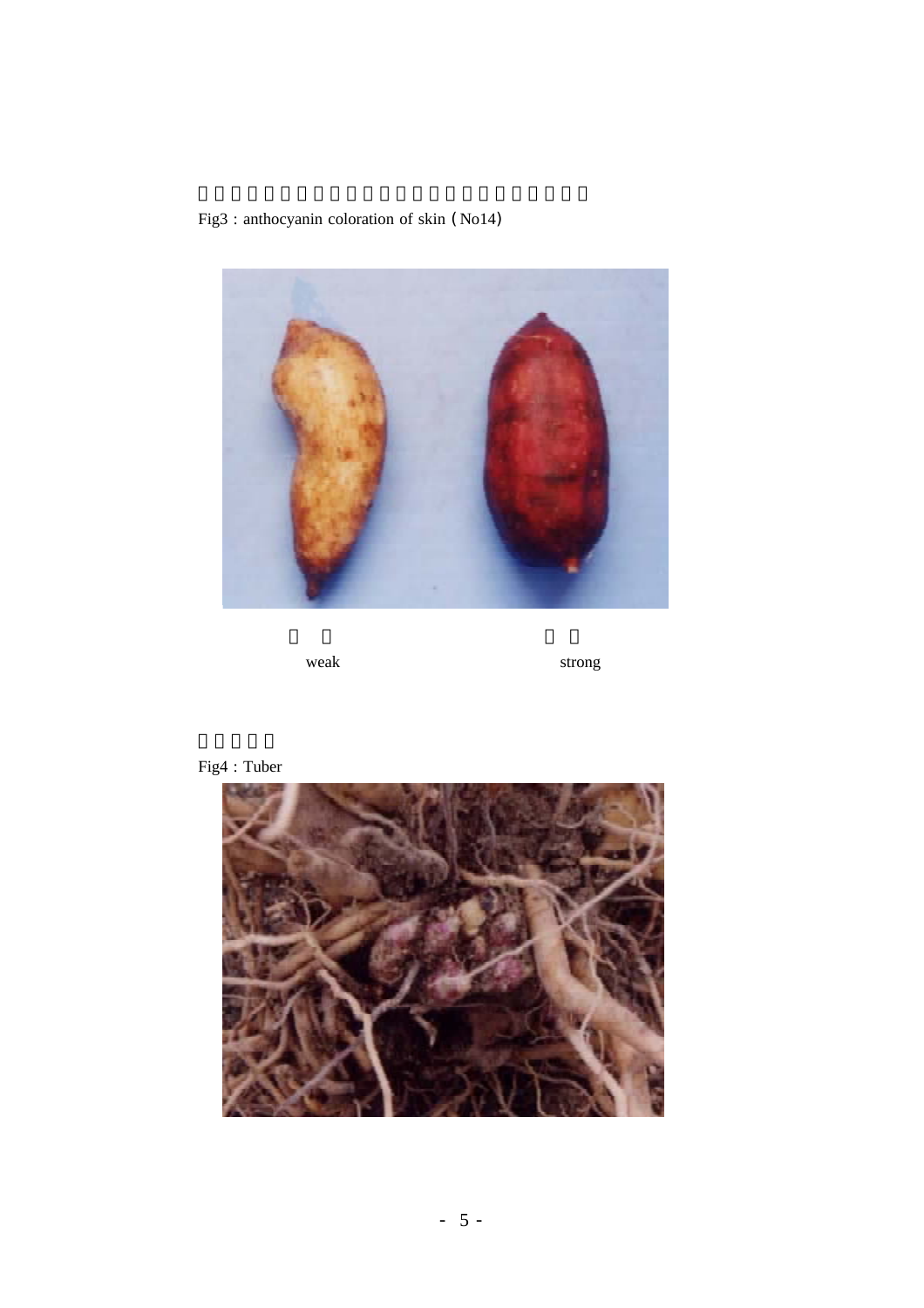Fig3 : anthocyanin coloration of skin (No14)



weak strong strong



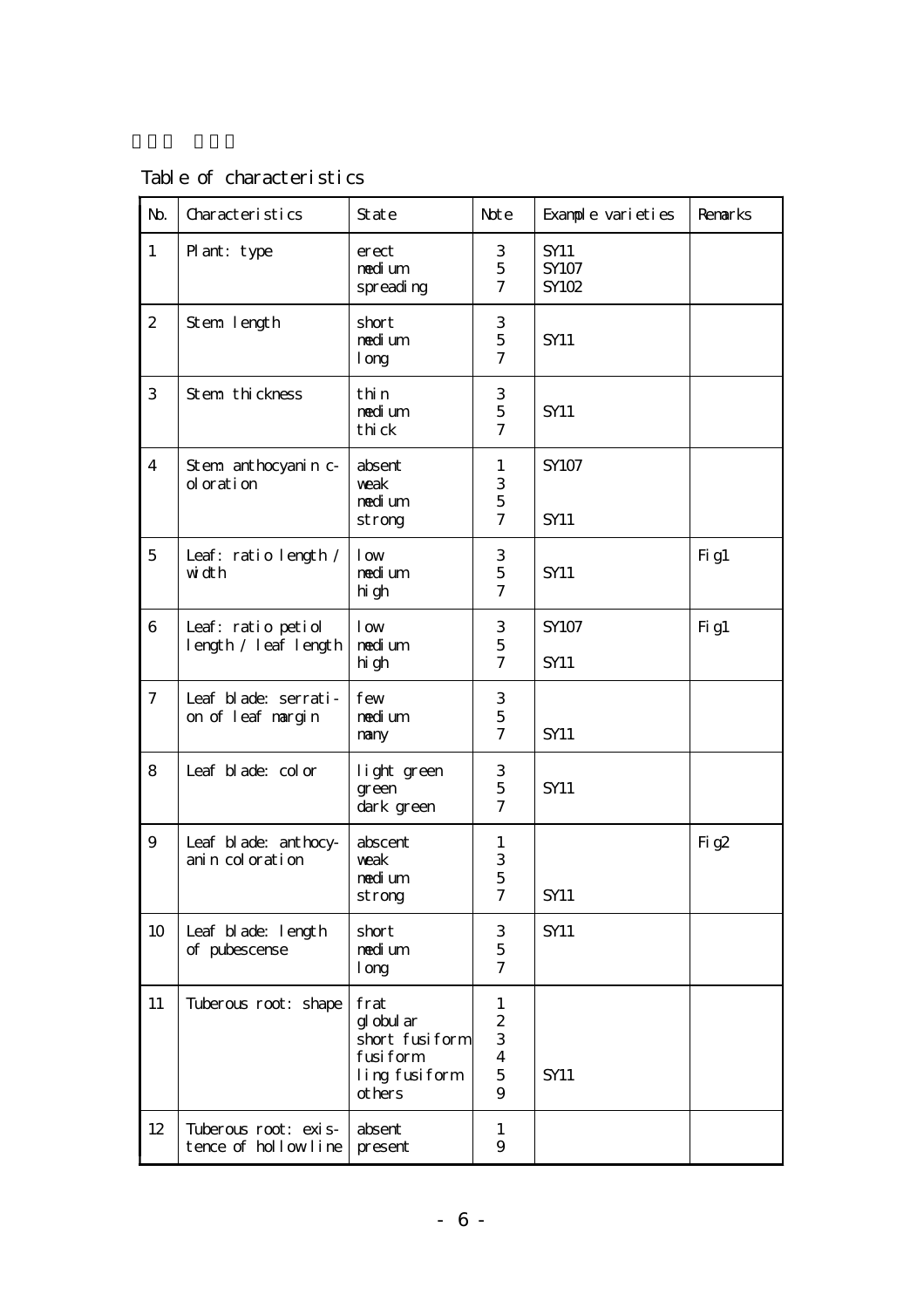Table of characteristics

| N <sub>b</sub> | Characteristics                             | State                                                                        | Note                                                                       | Example varieties             | Renarks |
|----------------|---------------------------------------------|------------------------------------------------------------------------------|----------------------------------------------------------------------------|-------------------------------|---------|
| $\mathbf{1}$   | Plant: type                                 | erect<br>nedium<br>spreading                                                 | 3<br>$\mathbf 5$<br>$\tau$                                                 | <b>SY11</b><br>SY107<br>SY102 |         |
| $\mathbf{2}$   | Stem length                                 | short<br>nedi um<br>1 <sub>org</sub>                                         | 3<br>$\mathbf 5$<br>$\tau$                                                 | <b>SY11</b>                   |         |
| 3              | Stem thickness                              | thin<br>nedi um<br>thi ck                                                    | $\ensuremath{\mathbf{3}}$<br>$\mathbf 5$<br>$\overline{\mathcal{U}}$       | <b>SY11</b>                   |         |
| $\overline{4}$ | Stem anthocyanin c-<br>oloration            | absent<br>weak<br>nedi um<br>strong                                          | $\mathbf{1}$<br>$\ensuremath{\mathsf{3}}$<br>$\mathbf 5$<br>$\overline{7}$ | SY107<br><b>SY11</b>          |         |
| 5              | Leaf: ratio length /<br>width               | 1 <sub>ow</sub><br>nedi um<br>hi gh                                          | 3<br>$\mathbf 5$<br>$\overline{7}$                                         | <b>SY11</b>                   | Fig1    |
| 6              | Leaf: ratio petiol<br>length / leaf length  | 1 <sub>ow</sub><br>nedi um<br>hi gh                                          | 3<br>$\overline{5}$<br>$\overline{\mathcal{U}}$                            | SY107<br><b>SY11</b>          | $Fi$ g1 |
| $\tau$         | Leaf blade: serrati-<br>on of leaf margin   | few<br>nedi um<br>nary                                                       | 3<br>$\mathbf 5$<br>$\tau$                                                 | <b>SY11</b>                   |         |
| 8              | Leaf blade: color                           | light green<br>green<br>dark green                                           | 3<br>$\mathbf 5$<br>$\overline{7}$                                         | <b>SY11</b>                   |         |
| $\overline{9}$ | Leaf blade: anthocy-<br>anin coloration     | abscent<br>weak<br>nedi um<br>strong                                         | 1<br>$\frac{3}{5}$<br>$\boldsymbol{7}$                                     | SY11                          | Fig2    |
| 10             | Leaf blade: length<br>of pubescense         | short<br>nedi um<br>1 <sub>org</sub>                                         | 3<br>$\mathbf 5$<br>7                                                      | SY11                          |         |
| 11             | Tuberous root: shape                        | frat<br>gl obul ar<br>short fusiform<br>fusiform<br>ling fusiform<br>ot hers | 1<br>$\boldsymbol{2}$<br>$\,3$<br>$\overline{4}$<br>$\mathbf 5$<br>9       | <b>SY11</b>                   |         |
| 12             | Tuberous root: exis-<br>tence of hollowline | absent<br>present                                                            | 1<br>9                                                                     |                               |         |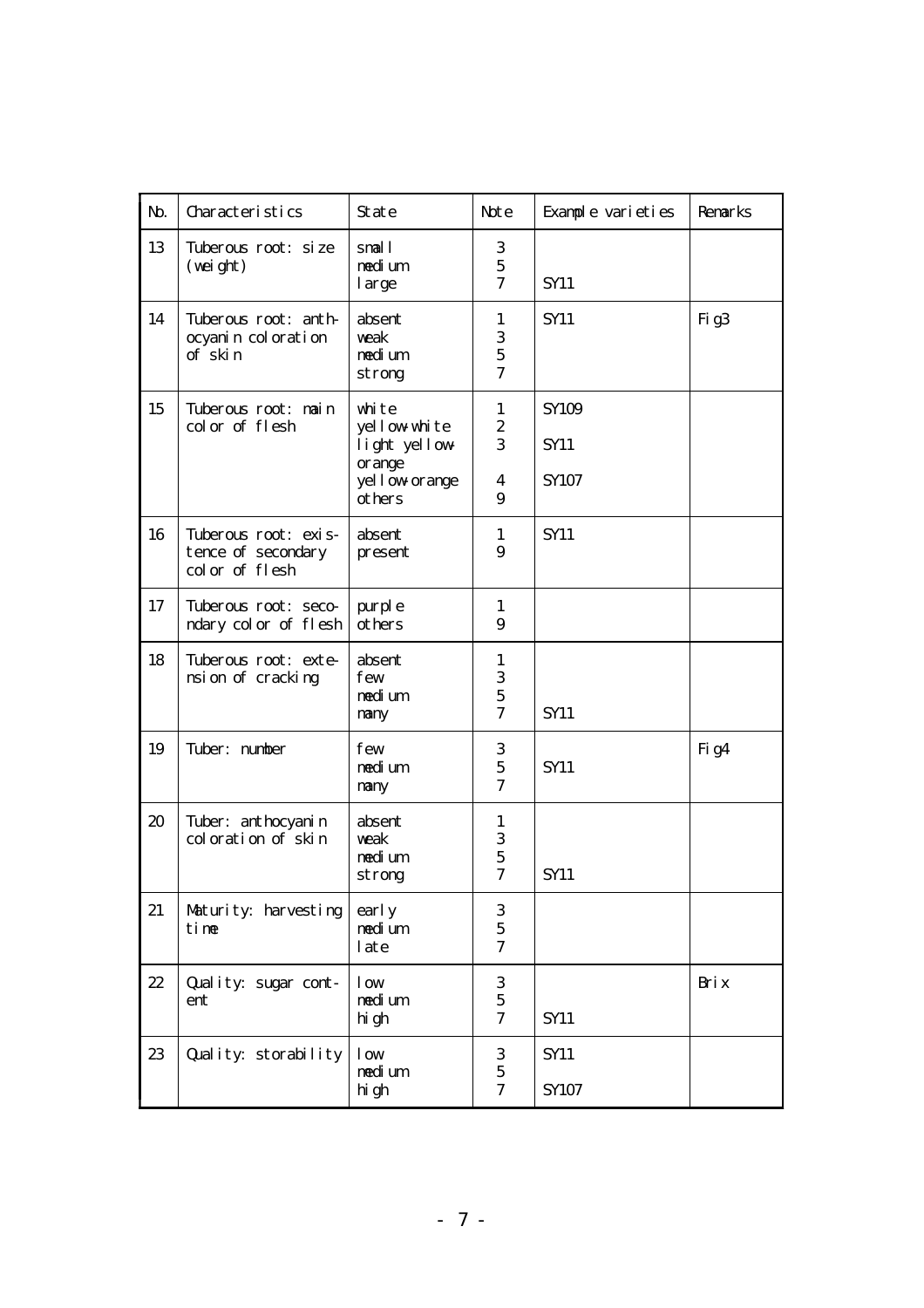| N <sub>b</sub> | Characteristics                                              | State                                                                         | Note                                                                       | Example varieties                  | Renarks          |
|----------------|--------------------------------------------------------------|-------------------------------------------------------------------------------|----------------------------------------------------------------------------|------------------------------------|------------------|
| 13             | Tuberous root: size<br>(wei ght)                             | snall<br>nedi um<br>large                                                     | 3<br>$\mathbf 5$<br>$\overline{7}$                                         | <b>SY11</b>                        |                  |
| 14             | Tuberous root: anth-<br>ocyanin coloration<br>of skin        | absent<br>weak<br>nedi um<br>strong                                           | 1<br>3<br>$\mathbf 5$<br>$\overline{\mathcal{U}}$                          | <b>SY11</b>                        | Fig <sub>3</sub> |
| 15             | Tuberous root: nain<br>color of flesh                        | white<br>yellow white<br>light yellow<br>orange<br>yel l ow orange<br>ot hers | $\mathbf{1}$<br>$\boldsymbol{2}$<br>3<br>$\overline{4}$<br>9               | SY109<br>SY <sub>11</sub><br>SY107 |                  |
| 16             | Tuberous root: exis-<br>tence of secondary<br>color of flesh | absent<br>present                                                             | $\mathbf{1}$<br>9                                                          | <b>SY11</b>                        |                  |
| 17             | Tuberous root: seco-<br>ndary color of flesh                 | purple<br>ot hers                                                             | 1<br>9                                                                     |                                    |                  |
| 18             | Tuberous root: exte-<br>nsi on of cracking                   | absent<br>few<br>nedi um<br>nany                                              | $\mathbf{1}$<br>3<br>$\overline{5}$<br>$\overline{7}$                      | <b>SY11</b>                        |                  |
| 19             | Tuber: number                                                | few<br>nedi um<br>nany                                                        | 3<br>$\mathbf 5$<br>$\overline{7}$                                         | <b>SY11</b>                        | Fig4             |
| $20\,$         | Tuber: ant hocyani n<br>coloration of skin                   | absent<br>weak<br>nedium<br>strong                                            | $\mathbf{1}$<br>$\ensuremath{\mathsf{3}}$<br>$\mathbf 5$<br>$\overline{7}$ | <b>SY11</b>                        |                  |
| 21             | Maturity: harvesting<br>tine                                 | early<br>nedi um<br>late                                                      | 3<br>$\mathbf 5$<br>$\overline{7}$                                         |                                    |                  |
| 22             | Quality: sugar cont-<br>ent                                  | 1 <sub>ow</sub><br>nedium<br>hi gh                                            | $\,3$<br>$\mathbf 5$<br>$\tau$                                             | SY11                               | Bri x            |
| 23             | Quality: storability                                         | 1 <sub>ow</sub><br>nedi um<br>hi gh                                           | $\,3$<br>$\mathbf 5$<br>$\overline{7}$                                     | SY11<br>SY107                      |                  |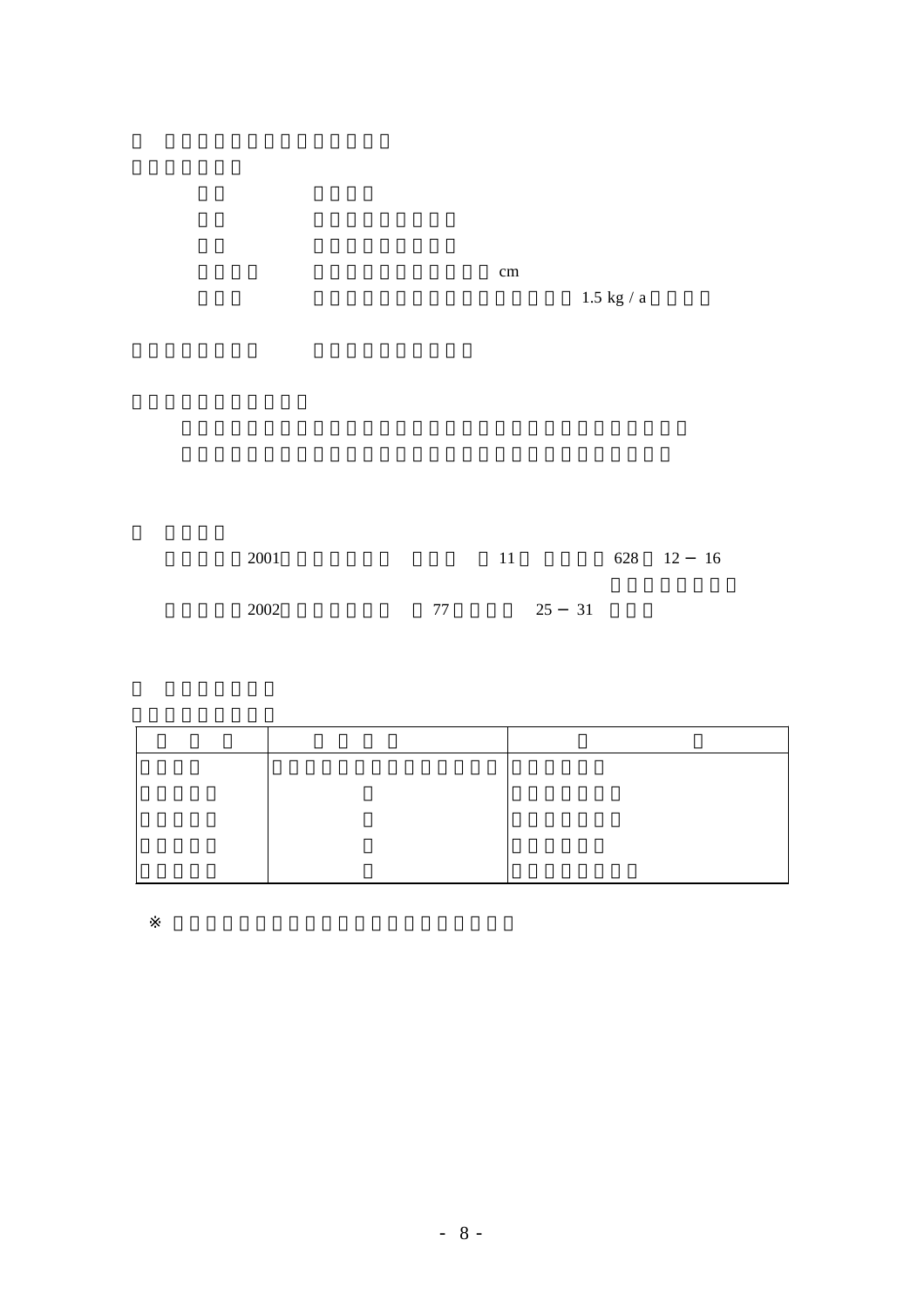$\mathbf{cm}$ 

 $1.5$  kg / a  $\,$ 

| 2001 |    |       | 628 12 16 |  |
|------|----|-------|-----------|--|
| 2002 | 77 | 25 31 |           |  |